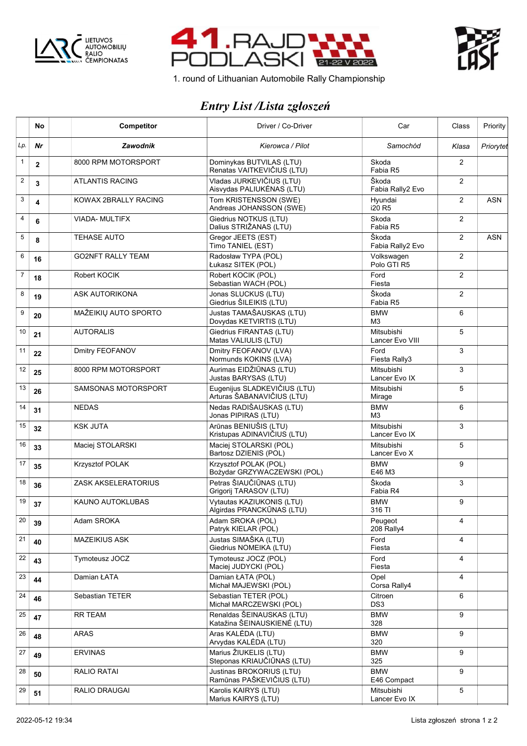





1. round of Lithuanian Automobile Rally Championship

## *Entry List /Lista zgłoszeń*

|                | No           | Competitor                 | Driver / Co-Driver                                         | Car                                  | Class          | Priority   |
|----------------|--------------|----------------------------|------------------------------------------------------------|--------------------------------------|----------------|------------|
| Lp.            | Nr           | <b>Zawodnik</b>            | Kierowca / Pilot                                           | Samochód                             | Klasa          | Priorytet  |
| $\mathbf{1}$   | $\mathbf{2}$ | 8000 RPM MOTORSPORT        | Dominykas BUTVILAS (LTU)<br>Renatas VAITKEVIČIUS (LTU)     | Skoda<br>Fabia R5                    | $\overline{2}$ |            |
| $\overline{2}$ | 3            | <b>ATLANTIS RACING</b>     | Vladas JURKEVIČIUS (LTU)<br>Aisvydas PALIUKĖNAS (LTU)      | Škoda<br>Fabia Rally2 Evo            | $\overline{2}$ |            |
| 3              | 4            | KOWAX 2BRALLY RACING       | Tom KRISTENSSON (SWE)<br>Andreas JOHANSSON (SWE)           | Hyundai<br>i20 R5                    | 2              | <b>ASN</b> |
| 4              | 6            | <b>VIADA-MULTIFX</b>       | Giedrius NOTKUS (LTU)<br>Dalius STRIŽANAS (LTU)            | Skoda<br>Fabia R5                    | $\overline{2}$ |            |
| 5              | 8            | <b>TEHASE AUTO</b>         | Gregor JEETS (EST)<br>Timo TANIEL (EST)                    | Škoda<br>Fabia Rally2 Evo            | $\overline{2}$ | <b>ASN</b> |
| 6              | 16           | <b>GO2NFT RALLY TEAM</b>   | Radosław TYPA (POL)<br>Łukasz SITEK (POL)                  | Volkswagen<br>Polo GTI R5            | $\overline{2}$ |            |
| $\overline{7}$ | 18           | Robert KOCIK               | Robert KOCIK (POL)<br>Sebastian WACH (POL)                 | Ford<br>Fiesta                       | $\overline{2}$ |            |
| 8              | 19           | ASK AUTORIKONA             | Jonas SLUCKUS (LTU)<br>Giedrius ŠILEIKIS (LTU)             | Škoda<br>Fabia R5                    | $\overline{2}$ |            |
| 9              | 20           | MAŽEIKIŲ AUTO SPORTO       | Justas TAMAŠAUSKAS (LTU)<br>Dovydas KETVIRTIS (LTU)        | <b>BMW</b><br>M <sub>3</sub>         | 6              |            |
| 10             | 21           | <b>AUTORALIS</b>           | Giedrius FIRANTAS (LTU)<br>Matas VALIULIS (LTU)            | <b>Mitsubishi</b><br>Lancer Evo VIII | 5              |            |
| 11             | 22           | Dmitry FEOFANOV            | Dmitry FEOFANOV (LVA)<br>Normunds KOKINS (LVA)             | Ford<br>Fiesta Rally3                | 3              |            |
| 12             | 25           | 8000 RPM MOTORSPORT        | Aurimas EIDŽIŪNAS (LTU)<br>Justas BARYSAS (LTU)            | <b>Mitsubishi</b><br>Lancer Evo IX   | 3              |            |
| 13             | 26           | <b>SAMSONAS MOTORSPORT</b> | Eugenijus SLADKEVIČIUS (LTU)<br>Arturas ŠABANAVIČIUS (LTU) | <b>Mitsubishi</b><br>Mirage          | 5              |            |
| 14             | 31           | <b>NEDAS</b>               | Nedas RADIŠAUSKAS (LTU)<br>Jonas PIPIRAS (LTU)             | <b>BMW</b><br>M <sub>3</sub>         | 6              |            |
| 15             | 32           | <b>KSK JUTA</b>            | Arūnas BENIUŠIS (LTU)<br>Kristupas ADINAVIČIUS (LTU)       | <b>Mitsubishi</b><br>Lancer Evo IX   | 3              |            |
| 16             | 33           | Maciej STOLARSKI           | Maciej STOLARSKI (POL)<br>Bartosz DZIENIS (POL)            | Mitsubishi<br>Lancer Evo X           | 5              |            |
| 17             | 35           | Krzysztof POLAK            | Krzysztof POLAK (POL)<br>Bożydar GRZYWACZEWSKI (POL)       | <b>BMW</b><br>E46 M3                 | 9              |            |
| 18             | 36           | ZASK AKSELERATORIUS        | Petras ŠIAUČIŪNAS (LTU)<br>Grigorij TARASOV (LTU)          | Škoda<br>Fabia R4                    | 3              |            |
| 19             | 37           | KAUNO AUTOKLUBAS           | Vytautas KAZIUKONIS (LTU)<br>Algirdas PRANCKŪNAS (LTU)     | <b>BMW</b><br>316 TI                 | 9              |            |
| 20             | 39           | Adam SROKA                 | Adam SROKA (POL)<br>Patryk KIELAR (POL)                    | Peugeot<br>208 Rally4                | 4              |            |
| 21             | 40           | <b>MAZEIKIUS ASK</b>       | Justas SIMAŠKA (LTU)<br>Giedrius NOMEIKA (LTU)             | Ford<br>Fiesta                       | 4              |            |
| 22             | 43           | Tymoteusz JOCZ             | Tymoteusz JOCZ (POL)<br>Maciej JUDYCKI (POL)               | Ford<br>Fiesta                       | 4              |            |
| 23             | 44           | Damian ŁATA                | Damian ŁATA (POL)<br>Michał MAJEWSKI (POL)                 | Opel<br>Corsa Rally4                 | 4              |            |
| 24             | 46           | Sebastian TETER            | Sebastian TETER (POL)<br>Michał MARCZEWSKI (POL)           | Citroen<br>DS3                       | 6              |            |
| 25             | 47           | <b>RR TEAM</b>             | Renaldas ŠEINAUSKAS (LTU)<br>Katažina ŠEINAUSKIENĖ (LTU)   | <b>BMW</b><br>328                    | 9              |            |
| 26             | 48           | <b>ARAS</b>                | Aras KALEDA (LTU)<br>Arvydas KALĖDA (LTU)                  | <b>BMW</b><br>320                    | 9              |            |
| 27             | 49           | <b>ERVINAS</b>             | Marius ŽIUKELIS (LTU)<br>Steponas KRIAUČIŪNAS (LTU)        | <b>BMW</b><br>325                    | 9              |            |
| 28             | 50           | <b>RALIO RATAI</b>         | Justinas BROKORIUS (LTU)<br>Ramūnas PAŠKEVIČIUS (LTU)      | <b>BMW</b><br>E46 Compact            | 9              |            |
| 29             | 51           | RALIO DRAUGAI              | Karolis KAIRYS (LTU)<br>Marius KAIRYS (LTU)                | Mitsubishi<br>Lancer Evo IX          | 5              |            |